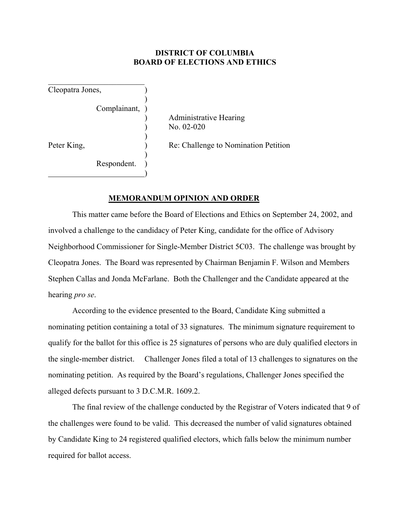## **DISTRICT OF COLUMBIA BOARD OF ELECTIONS AND ETHICS**

Cleopatra Jones, )

 $\mathcal{L}_\text{max}$  , where  $\mathcal{L}_\text{max}$  , we have the set of  $\mathcal{L}_\text{max}$ 

 $\overline{\phantom{a}}$ 

 $\overline{\phantom{a}}$ 

 $\overline{\phantom{a}}$ Complainant, )

> ) Administrative Hearing ) No. 02-020

Peter King,  $\qquad \qquad$  Re: Challenge to Nomination Petition

Respondent.  $\qquad \qquad \qquad$ 

## **MEMORANDUM OPINION AND ORDER**

 This matter came before the Board of Elections and Ethics on September 24, 2002, and involved a challenge to the candidacy of Peter King, candidate for the office of Advisory Neighborhood Commissioner for Single-Member District 5C03. The challenge was brought by Cleopatra Jones. The Board was represented by Chairman Benjamin F. Wilson and Members Stephen Callas and Jonda McFarlane. Both the Challenger and the Candidate appeared at the hearing *pro se*.

According to the evidence presented to the Board, Candidate King submitted a nominating petition containing a total of 33 signatures. The minimum signature requirement to qualify for the ballot for this office is 25 signatures of persons who are duly qualified electors in the single-member district. Challenger Jones filed a total of 13 challenges to signatures on the nominating petition. As required by the Board's regulations, Challenger Jones specified the alleged defects pursuant to 3 D.C.M.R. 1609.2.

 The final review of the challenge conducted by the Registrar of Voters indicated that 9 of the challenges were found to be valid. This decreased the number of valid signatures obtained by Candidate King to 24 registered qualified electors, which falls below the minimum number required for ballot access.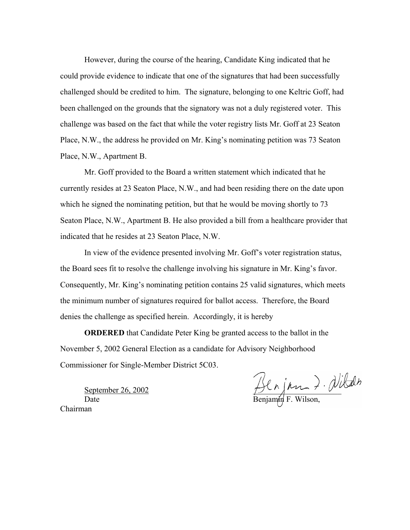However, during the course of the hearing, Candidate King indicated that he could provide evidence to indicate that one of the signatures that had been successfully challenged should be credited to him. The signature, belonging to one Keltric Goff, had been challenged on the grounds that the signatory was not a duly registered voter. This challenge was based on the fact that while the voter registry lists Mr. Goff at 23 Seaton Place, N.W., the address he provided on Mr. King's nominating petition was 73 Seaton Place, N.W., Apartment B.

Mr. Goff provided to the Board a written statement which indicated that he currently resides at 23 Seaton Place, N.W., and had been residing there on the date upon which he signed the nominating petition, but that he would be moving shortly to 73 Seaton Place, N.W., Apartment B. He also provided a bill from a healthcare provider that indicated that he resides at 23 Seaton Place, N.W.

In view of the evidence presented involving Mr. Goff's voter registration status, the Board sees fit to resolve the challenge involving his signature in Mr. King's favor. Consequently, Mr. King's nominating petition contains 25 valid signatures, which meets the minimum number of signatures required for ballot access. Therefore, the Board denies the challenge as specified herein. Accordingly, it is hereby

**ORDERED** that Candidate Peter King be granted access to the ballot in the November 5, 2002 General Election as a candidate for Advisory Neighborhood Commissioner for Single-Member District 5C03.

September 26, 2002

Date Benjamin F. Wilson,

Chairman